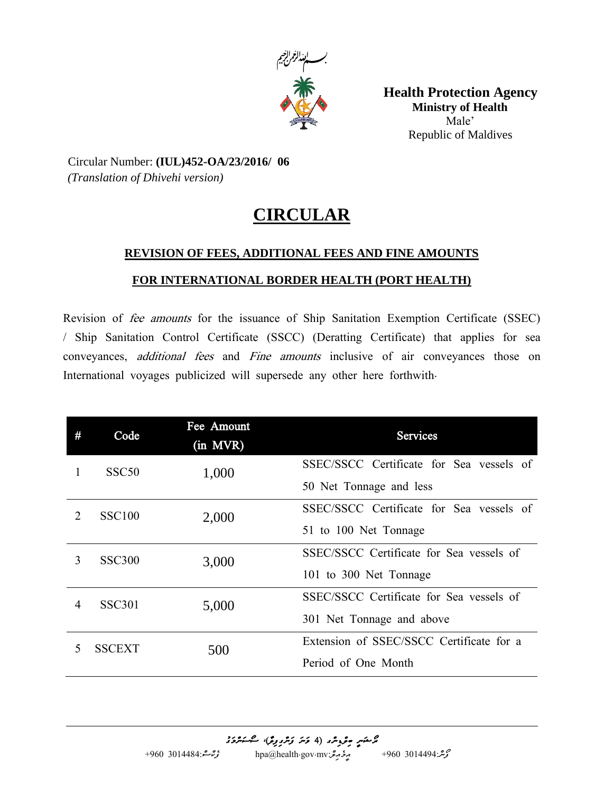

**Health Protection Agency Ministry of Health**  Male' Republic of Maldives

Circular Number: **(IUL)452-OA/23/2016/ 06** *(Translation of Dhivehi version)*

## **CIRCULAR**

## **REVISION OF FEES, ADDITIONAL FEES AND FINE AMOUNTS**

## **FOR INTERNATIONAL BORDER HEALTH (PORT HEALTH)**

*Revision of fee amounts for the issuance of Ship Sanitation Exemption Certificate (SSEC) / Ship Sanitation Control Certificate (SSCC) (Deratting Certificate) that applies for sea conveyances, additional fees and Fine amounts inclusive of air conveyances those on International voyages publicized will supersede any other here forthwith.*

| #                           | Code              | Fee Amount<br>(in MVR) | <b>Services</b>                          |
|-----------------------------|-------------------|------------------------|------------------------------------------|
|                             | SSC <sub>50</sub> | 1,000                  | SSEC/SSCC Certificate for Sea vessels of |
|                             |                   |                        | 50 Net Tonnage and less                  |
| $\mathcal{D}_{\mathcal{L}}$ | <b>SSC100</b>     | 2,000                  | SSEC/SSCC Certificate for Sea vessels of |
|                             |                   |                        | 51 to 100 Net Tonnage                    |
| 3                           | <b>SSC300</b>     | 3,000                  | SSEC/SSCC Certificate for Sea vessels of |
|                             |                   |                        | 101 to 300 Net Tonnage                   |
| $\overline{4}$              | <b>SSC301</b>     | 5,000                  | SSEC/SSCC Certificate for Sea vessels of |
|                             |                   |                        | 301 Net Tonnage and above                |
|                             | <b>SSCEXT</b>     | 500                    | Extension of SSEC/SSCC Certificate for a |
|                             |                   |                        | Period of One Month                      |